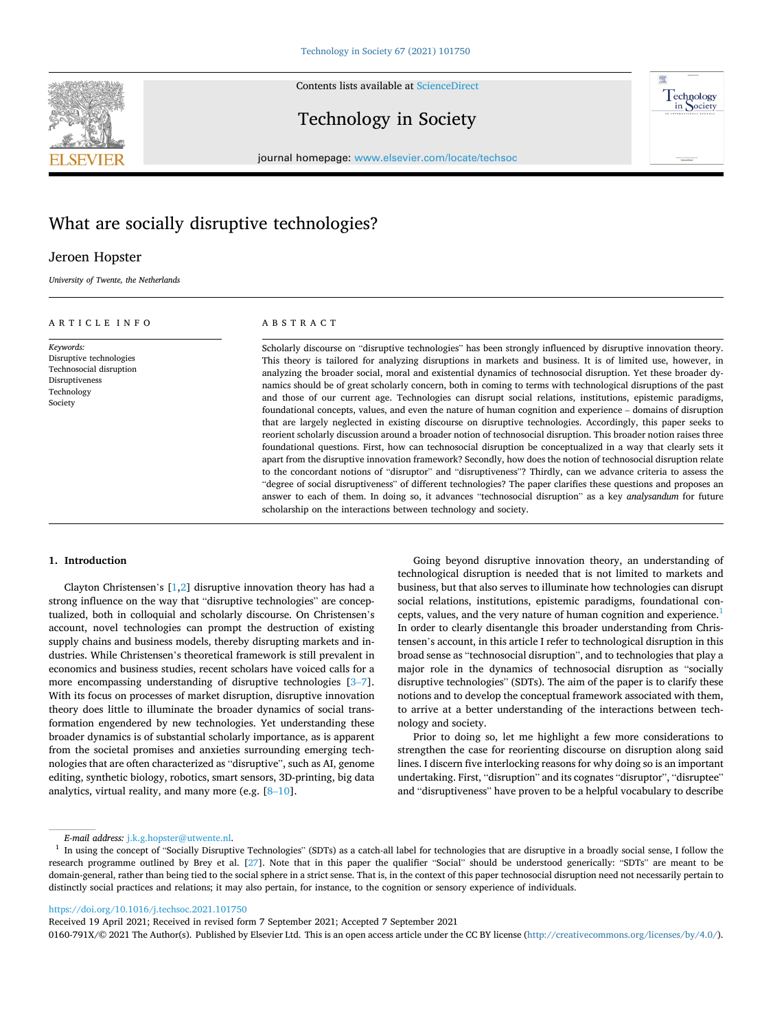Contents lists available at [ScienceDirect](www.sciencedirect.com/science/journal/0160791X)



Technology in Society



journal homepage: [www.elsevier.com/locate/techsoc](https://www.elsevier.com/locate/techsoc) 

# What are socially disruptive technologies?

## Jeroen Hopster

*University of Twente, the Netherlands* 

## ARTICLE INFO

*Keywords:*  Disruptive technologies Technosocial disruption Disruptiveness Technology Society

## ABSTRACT

Scholarly discourse on "disruptive technologies" has been strongly influenced by disruptive innovation theory. This theory is tailored for analyzing disruptions in markets and business. It is of limited use, however, in analyzing the broader social, moral and existential dynamics of technosocial disruption. Yet these broader dynamics should be of great scholarly concern, both in coming to terms with technological disruptions of the past and those of our current age. Technologies can disrupt social relations, institutions, epistemic paradigms, foundational concepts, values, and even the nature of human cognition and experience – domains of disruption that are largely neglected in existing discourse on disruptive technologies. Accordingly, this paper seeks to reorient scholarly discussion around a broader notion of technosocial disruption. This broader notion raises three foundational questions. First, how can technosocial disruption be conceptualized in a way that clearly sets it apart from the disruptive innovation framework? Secondly, how does the notion of technosocial disruption relate to the concordant notions of "disruptor" and "disruptiveness"? Thirdly, can we advance criteria to assess the "degree of social disruptiveness" of different technologies? The paper clarifies these questions and proposes an answer to each of them. In doing so, it advances "technosocial disruption" as a key *analysandum* for future scholarship on the interactions between technology and society.

## **1. Introduction**

Clayton Christensen's [\[1,2\]](#page-6-0) disruptive innovation theory has had a strong influence on the way that "disruptive technologies" are conceptualized, both in colloquial and scholarly discourse. On Christensen's account, novel technologies can prompt the destruction of existing supply chains and business models, thereby disrupting markets and industries. While Christensen's theoretical framework is still prevalent in economics and business studies, recent scholars have voiced calls for a more encompassing understanding of disruptive technologies [\[3](#page-6-0)–7]. With its focus on processes of market disruption, disruptive innovation theory does little to illuminate the broader dynamics of social transformation engendered by new technologies. Yet understanding these broader dynamics is of substantial scholarly importance, as is apparent from the societal promises and anxieties surrounding emerging technologies that are often characterized as "disruptive", such as AI, genome editing, synthetic biology, robotics, smart sensors, 3D-printing, big data analytics, virtual reality, and many more (e.g.  $[8-10]$  $[8-10]$  $[8-10]$ .

Going beyond disruptive innovation theory, an understanding of technological disruption is needed that is not limited to markets and business, but that also serves to illuminate how technologies can disrupt social relations, institutions, epistemic paradigms, foundational concepts, values, and the very nature of human cognition and experience.<sup>1</sup> In order to clearly disentangle this broader understanding from Christensen's account, in this article I refer to technological disruption in this broad sense as "technosocial disruption", and to technologies that play a major role in the dynamics of technosocial disruption as "socially disruptive technologies" (SDTs). The aim of the paper is to clarify these notions and to develop the conceptual framework associated with them, to arrive at a better understanding of the interactions between technology and society.

Prior to doing so, let me highlight a few more considerations to strengthen the case for reorienting discourse on disruption along said lines. I discern five interlocking reasons for why doing so is an important undertaking. First, "disruption" and its cognates "disruptor", "disruptee" and "disruptiveness" have proven to be a helpful vocabulary to describe

<https://doi.org/10.1016/j.techsoc.2021.101750>

Received 19 April 2021; Received in revised form 7 September 2021; Accepted 7 September 2021

0160-791X/© 2021 The Author(s). Published by Elsevier Ltd. This is an open access article under the CC BY license [\(http://creativecommons.org/licenses/by/4.0/\)](http://creativecommons.org/licenses/by/4.0/).

*E-mail address:* [j.k.g.hopster@utwente.nl](mailto:j.k.g.hopster@utwente.nl). 1 In using the concept of "Social y occial sense" Disruptive Technologies that are disruptive in a broadly social sense, I follow the <sup>1</sup> In using the concept of "Socially Disrup research programme outlined by Brey et al. [\[27](#page-7-0)]. Note that in this paper the qualifier "Social" should be understood generically: "SDTs" are meant to be domain-general, rather than being tied to the social sphere in a strict sense. That is, in the context of this paper technosocial disruption need not necessarily pertain to distinctly social practices and relations; it may also pertain, for instance, to the cognition or sensory experience of individuals.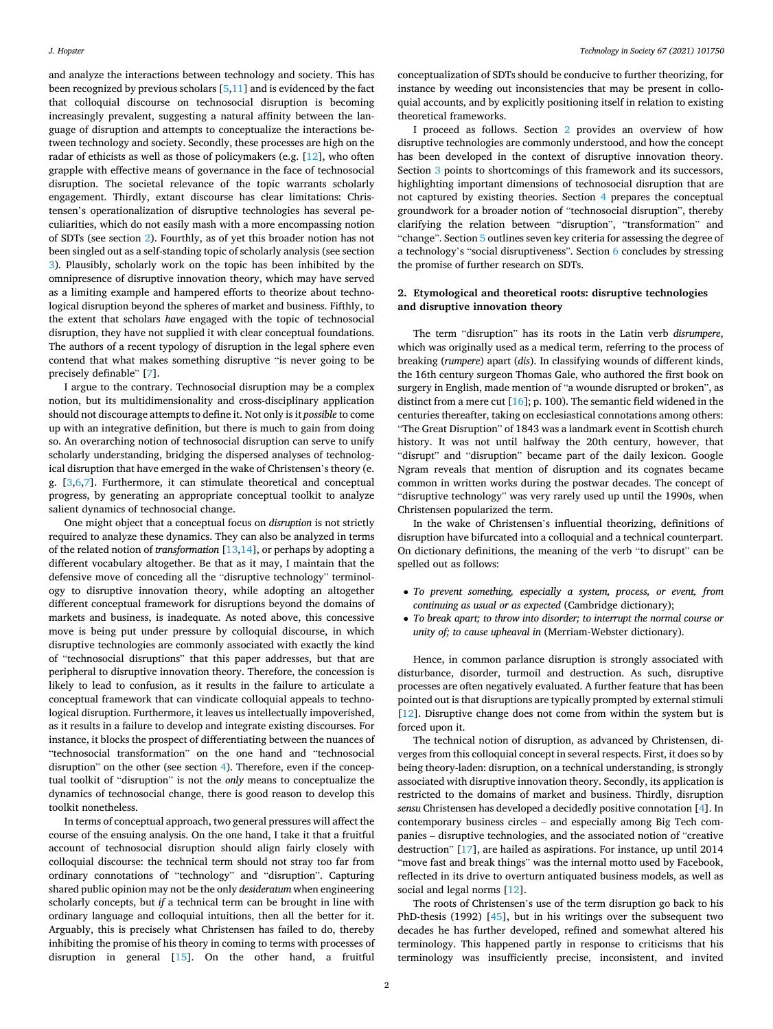and analyze the interactions between technology and society. This has been recognized by previous scholars  $[5,11]$  $[5,11]$  $[5,11]$  and is evidenced by the fact that colloquial discourse on technosocial disruption is becoming increasingly prevalent, suggesting a natural affinity between the language of disruption and attempts to conceptualize the interactions between technology and society. Secondly, these processes are high on the radar of ethicists as well as those of policymakers (e.g. [\[12](#page-7-0)], who often grapple with effective means of governance in the face of technosocial disruption. The societal relevance of the topic warrants scholarly engagement. Thirdly, extant discourse has clear limitations: Christensen's operationalization of disruptive technologies has several peculiarities, which do not easily mash with a more encompassing notion of SDTs (see section 2). Fourthly, as of yet this broader notion has not been singled out as a self-standing topic of scholarly analysis (see section [3](#page-2-0)). Plausibly, scholarly work on the topic has been inhibited by the omnipresence of disruptive innovation theory, which may have served as a limiting example and hampered efforts to theorize about technological disruption beyond the spheres of market and business. Fifthly, to the extent that scholars *have* engaged with the topic of technosocial disruption, they have not supplied it with clear conceptual foundations. The authors of a recent typology of disruption in the legal sphere even contend that what makes something disruptive "is never going to be precisely definable" [\[7\]](#page-6-0).

I argue to the contrary. Technosocial disruption may be a complex notion, but its multidimensionality and cross-disciplinary application should not discourage attempts to define it. Not only is it *possible* to come up with an integrative definition, but there is much to gain from doing so. An overarching notion of technosocial disruption can serve to unify scholarly understanding, bridging the dispersed analyses of technological disruption that have emerged in the wake of Christensen's theory (e. g. [\[3,6,7](#page-6-0)]. Furthermore, it can stimulate theoretical and conceptual progress, by generating an appropriate conceptual toolkit to analyze salient dynamics of technosocial change.

One might object that a conceptual focus on *disruption* is not strictly required to analyze these dynamics. They can also be analyzed in terms of the related notion of *transformation* [\[13,14](#page-7-0)], or perhaps by adopting a different vocabulary altogether. Be that as it may, I maintain that the defensive move of conceding all the "disruptive technology" terminology to disruptive innovation theory, while adopting an altogether different conceptual framework for disruptions beyond the domains of markets and business, is inadequate. As noted above, this concessive move is being put under pressure by colloquial discourse, in which disruptive technologies are commonly associated with exactly the kind of "technosocial disruptions" that this paper addresses, but that are peripheral to disruptive innovation theory. Therefore, the concession is likely to lead to confusion, as it results in the failure to articulate a conceptual framework that can vindicate colloquial appeals to technological disruption. Furthermore, it leaves us intellectually impoverished, as it results in a failure to develop and integrate existing discourses. For instance, it blocks the prospect of differentiating between the nuances of "technosocial transformation" on the one hand and "technosocial disruption" on the other (see section [4](#page-3-0)). Therefore, even if the conceptual toolkit of "disruption" is not the *only* means to conceptualize the dynamics of technosocial change, there is good reason to develop this toolkit nonetheless.

In terms of conceptual approach, two general pressures will affect the course of the ensuing analysis. On the one hand, I take it that a fruitful account of technosocial disruption should align fairly closely with colloquial discourse: the technical term should not stray too far from ordinary connotations of "technology" and "disruption". Capturing shared public opinion may not be the only *desideratum* when engineering scholarly concepts, but *if* a technical term can be brought in line with ordinary language and colloquial intuitions, then all the better for it. Arguably, this is precisely what Christensen has failed to do, thereby inhibiting the promise of his theory in coming to terms with processes of disruption in general [\[15](#page-7-0)]. On the other hand, a fruitful conceptualization of SDTs should be conducive to further theorizing, for instance by weeding out inconsistencies that may be present in colloquial accounts, and by explicitly positioning itself in relation to existing theoretical frameworks.

I proceed as follows. Section 2 provides an overview of how disruptive technologies are commonly understood, and how the concept has been developed in the context of disruptive innovation theory. Section [3](#page-2-0) points to shortcomings of this framework and its successors, highlighting important dimensions of technosocial disruption that are not captured by existing theories. Section [4](#page-3-0) prepares the conceptual groundwork for a broader notion of "technosocial disruption", thereby clarifying the relation between "disruption", "transformation" and "change". Section [5](#page-5-0) outlines seven key criteria for assessing the degree of a technology's "social disruptiveness". Section [6](#page-6-0) concludes by stressing the promise of further research on SDTs.

## **2. Etymological and theoretical roots: disruptive technologies and disruptive innovation theory**

The term "disruption" has its roots in the Latin verb *disrumpere*, which was originally used as a medical term, referring to the process of breaking (*rumpere*) apart (*dis*). In classifying wounds of different kinds, the 16th century surgeon Thomas Gale, who authored the first book on surgery in English, made mention of "a wounde disrupted or broken", as distinct from a mere cut [[16\]](#page-7-0); p. 100). The semantic field widened in the centuries thereafter, taking on ecclesiastical connotations among others: "The Great Disruption" of 1843 was a landmark event in Scottish church history. It was not until halfway the 20th century, however, that "disrupt" and "disruption" became part of the daily lexicon. Google Ngram reveals that mention of disruption and its cognates became common in written works during the postwar decades. The concept of "disruptive technology" was very rarely used up until the 1990s, when Christensen popularized the term.

In the wake of Christensen's influential theorizing, definitions of disruption have bifurcated into a colloquial and a technical counterpart. On dictionary definitions, the meaning of the verb "to disrupt" can be spelled out as follows:

- *To prevent something, especially a system, process, or event, from continuing as usual or as expected* (Cambridge dictionary);
- *To break apart; to throw into disorder; to interrupt the normal course or unity of; to cause upheaval in* (Merriam-Webster dictionary).

Hence, in common parlance disruption is strongly associated with disturbance, disorder, turmoil and destruction. As such, disruptive processes are often negatively evaluated. A further feature that has been pointed out is that disruptions are typically prompted by external stimuli [[12\]](#page-7-0). Disruptive change does not come from within the system but is forced upon it.

The technical notion of disruption, as advanced by Christensen, diverges from this colloquial concept in several respects. First, it does so by being theory-laden: disruption, on a technical understanding, is strongly associated with disruptive innovation theory. Secondly, its application is restricted to the domains of market and business. Thirdly, disruption *sensu* Christensen has developed a decidedly positive connotation [[4](#page-6-0)]. In contemporary business circles – and especially among Big Tech companies – disruptive technologies, and the associated notion of "creative destruction" [\[17](#page-7-0)], are hailed as aspirations. For instance, up until 2014 "move fast and break things" was the internal motto used by Facebook, reflected in its drive to overturn antiquated business models, as well as social and legal norms [\[12](#page-7-0)].

The roots of Christensen's use of the term disruption go back to his PhD-thesis (1992) [\[45](#page-7-0)], but in his writings over the subsequent two decades he has further developed, refined and somewhat altered his terminology. This happened partly in response to criticisms that his terminology was insufficiently precise, inconsistent, and invited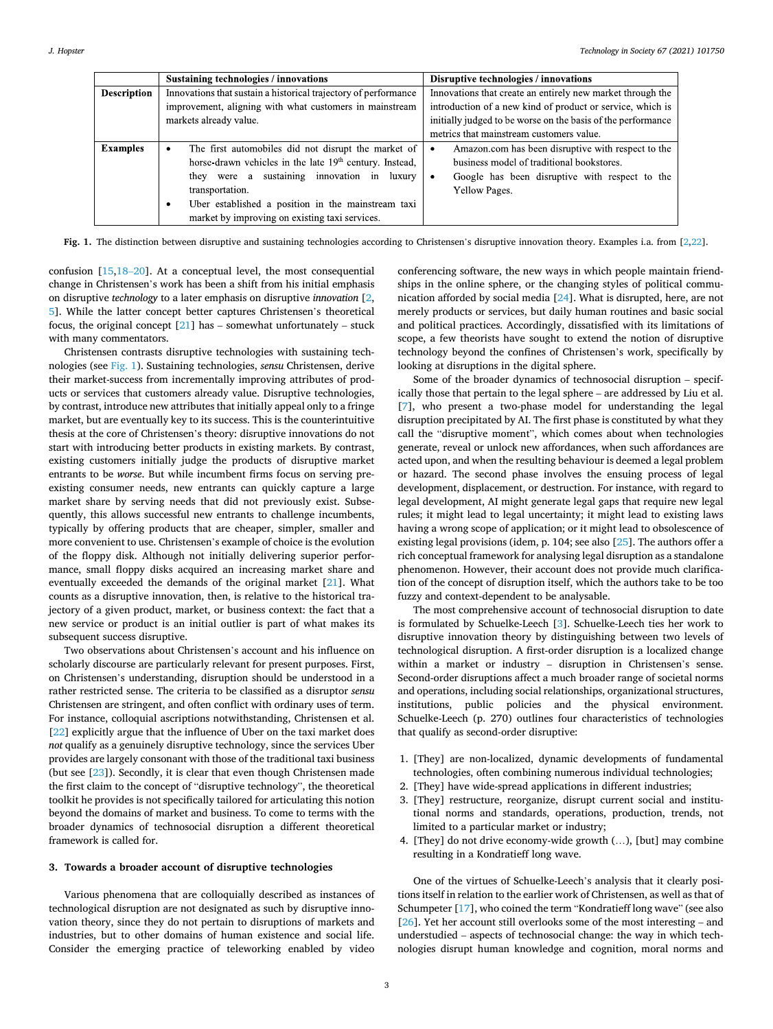<span id="page-2-0"></span>

|                    | <b>Sustaining technologies / innovations</b>                                                                                                                                                                                                                                                                              | Disruptive technologies / innovations                                                                                                                              |
|--------------------|---------------------------------------------------------------------------------------------------------------------------------------------------------------------------------------------------------------------------------------------------------------------------------------------------------------------------|--------------------------------------------------------------------------------------------------------------------------------------------------------------------|
| <b>Description</b> | Innovations that sustain a historical trajectory of performance                                                                                                                                                                                                                                                           | Innovations that create an entirely new market through the                                                                                                         |
|                    | improvement, aligning with what customers in mainstream                                                                                                                                                                                                                                                                   | introduction of a new kind of product or service, which is                                                                                                         |
|                    | markets already value.                                                                                                                                                                                                                                                                                                    | initially judged to be worse on the basis of the performance                                                                                                       |
|                    |                                                                                                                                                                                                                                                                                                                           | metrics that mainstream customers value.                                                                                                                           |
| <b>Examples</b>    | The first automobiles did not disrupt the market of<br>٠<br>horse drawn vehicles in the late 19 <sup>th</sup> century. Instead,<br>they were a sustaining innovation in<br>luxury<br>transportation.<br>Uber established a position in the mainstream taxi<br>$\bullet$<br>market by improving on existing taxi services. | Amazon.com has been disruptive with respect to the<br>business model of traditional bookstores.<br>Google has been disruptive with respect to the<br>Yellow Pages. |

**Fig. 1.** The distinction between disruptive and sustaining technologies according to Christensen's disruptive innovation theory. Examples i.a. from [[2,](#page-6-0)[22\]](#page-7-0).

confusion [[15,](#page-7-0)18–[20\]](#page-7-0). At a conceptual level, the most consequential change in Christensen's work has been a shift from his initial emphasis on disruptive *technology* to a later emphasis on disruptive *innovation* [[2](#page-6-0), [5](#page-6-0)]. While the latter concept better captures Christensen's theoretical focus, the original concept  $[21]$  $[21]$  has – somewhat unfortunately – stuck with many commentators.

Christensen contrasts disruptive technologies with sustaining technologies (see Fig. 1). Sustaining technologies, *sensu* Christensen, derive their market-success from incrementally improving attributes of products or services that customers already value. Disruptive technologies, by contrast, introduce new attributes that initially appeal only to a fringe market, but are eventually key to its success. This is the counterintuitive thesis at the core of Christensen's theory: disruptive innovations do not start with introducing better products in existing markets. By contrast, existing customers initially judge the products of disruptive market entrants to be *worse*. But while incumbent firms focus on serving preexisting consumer needs, new entrants can quickly capture a large market share by serving needs that did not previously exist. Subsequently, this allows successful new entrants to challenge incumbents, typically by offering products that are cheaper, simpler, smaller and more convenient to use. Christensen's example of choice is the evolution of the floppy disk. Although not initially delivering superior performance, small floppy disks acquired an increasing market share and eventually exceeded the demands of the original market [[21\]](#page-7-0). What counts as a disruptive innovation, then, is relative to the historical trajectory of a given product, market, or business context: the fact that a new service or product is an initial outlier is part of what makes its subsequent success disruptive.

Two observations about Christensen's account and his influence on scholarly discourse are particularly relevant for present purposes. First, on Christensen's understanding, disruption should be understood in a rather restricted sense. The criteria to be classified as a disruptor *sensu*  Christensen are stringent, and often conflict with ordinary uses of term. For instance, colloquial ascriptions notwithstanding, Christensen et al. [[22\]](#page-7-0) explicitly argue that the influence of Uber on the taxi market does *not* qualify as a genuinely disruptive technology, since the services Uber provides are largely consonant with those of the traditional taxi business (but see [[23\]](#page-7-0)). Secondly, it is clear that even though Christensen made the first claim to the concept of "disruptive technology", the theoretical toolkit he provides is not specifically tailored for articulating this notion beyond the domains of market and business. To come to terms with the broader dynamics of technosocial disruption a different theoretical framework is called for.

## **3. Towards a broader account of disruptive technologies**

Various phenomena that are colloquially described as instances of technological disruption are not designated as such by disruptive innovation theory, since they do not pertain to disruptions of markets and industries, but to other domains of human existence and social life. Consider the emerging practice of teleworking enabled by video

conferencing software, the new ways in which people maintain friendships in the online sphere, or the changing styles of political communication afforded by social media [[24\]](#page-7-0). What is disrupted, here, are not merely products or services, but daily human routines and basic social and political practices. Accordingly, dissatisfied with its limitations of scope, a few theorists have sought to extend the notion of disruptive technology beyond the confines of Christensen's work, specifically by looking at disruptions in the digital sphere.

Some of the broader dynamics of technosocial disruption – specifically those that pertain to the legal sphere – are addressed by Liu et al. [[7](#page-6-0)], who present a two-phase model for understanding the legal disruption precipitated by AI. The first phase is constituted by what they call the "disruptive moment", which comes about when technologies generate, reveal or unlock new affordances, when such affordances are acted upon, and when the resulting behaviour is deemed a legal problem or hazard. The second phase involves the ensuing process of legal development, displacement, or destruction. For instance, with regard to legal development, AI might generate legal gaps that require new legal rules; it might lead to legal uncertainty; it might lead to existing laws having a wrong scope of application; or it might lead to obsolescence of existing legal provisions (idem, p. 104; see also [\[25](#page-7-0)]. The authors offer a rich conceptual framework for analysing legal disruption as a standalone phenomenon. However, their account does not provide much clarification of the concept of disruption itself, which the authors take to be too fuzzy and context-dependent to be analysable.

The most comprehensive account of technosocial disruption to date is formulated by Schuelke-Leech [\[3\]](#page-6-0). Schuelke-Leech ties her work to disruptive innovation theory by distinguishing between two levels of technological disruption. A first-order disruption is a localized change within a market or industry – disruption in Christensen's sense. Second-order disruptions affect a much broader range of societal norms and operations, including social relationships, organizational structures, institutions, public policies and the physical environment. Schuelke-Leech (p. 270) outlines four characteristics of technologies that qualify as second-order disruptive:

- 1. [They] are non-localized, dynamic developments of fundamental technologies, often combining numerous individual technologies;
- 2. [They] have wide-spread applications in different industries;
- 3. [They] restructure, reorganize, disrupt current social and institutional norms and standards, operations, production, trends, not limited to a particular market or industry;
- 4. [They] do not drive economy-wide growth (…), [but] may combine resulting in a Kondratieff long wave.

One of the virtues of Schuelke-Leech's analysis that it clearly positions itself in relation to the earlier work of Christensen, as well as that of Schumpeter [\[17](#page-7-0)], who coined the term "Kondratieff long wave" (see also [[26\]](#page-7-0). Yet her account still overlooks some of the most interesting – and understudied – aspects of technosocial change: the way in which technologies disrupt human knowledge and cognition, moral norms and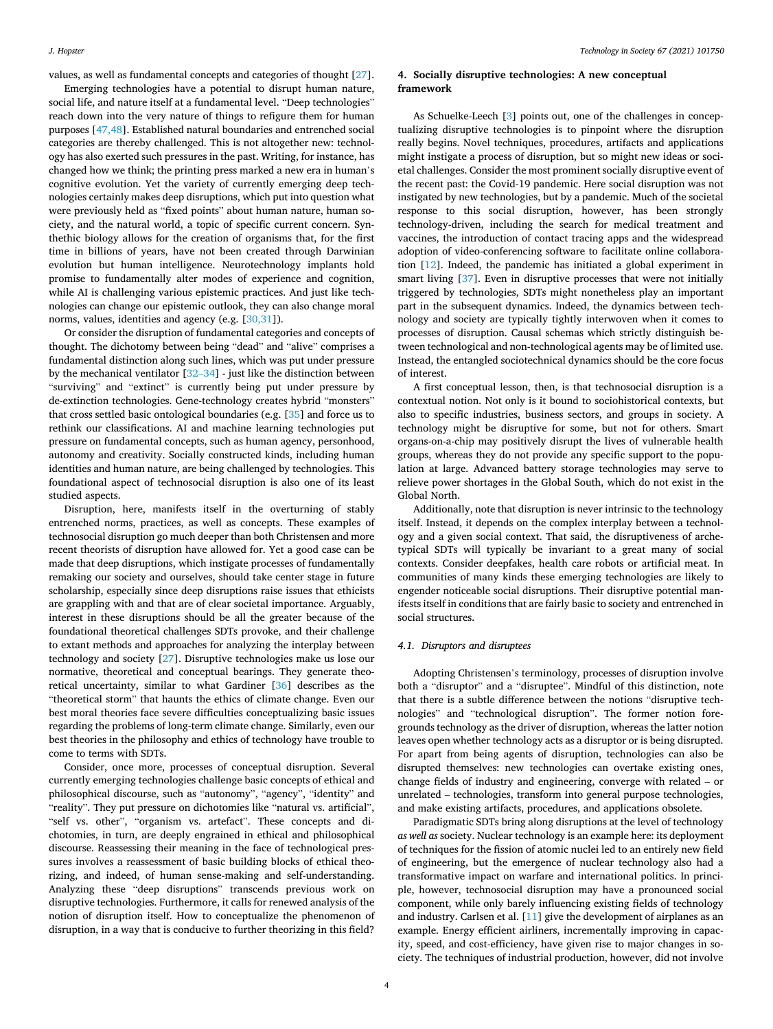<span id="page-3-0"></span>values, as well as fundamental concepts and categories of thought [\[27](#page-7-0)].

Emerging technologies have a potential to disrupt human nature, social life, and nature itself at a fundamental level. "Deep technologies" reach down into the very nature of things to refigure them for human purposes [\[47,48](#page-7-0)]. Established natural boundaries and entrenched social categories are thereby challenged. This is not altogether new: technology has also exerted such pressures in the past. Writing, for instance, has changed how we think; the printing press marked a new era in human's cognitive evolution. Yet the variety of currently emerging deep technologies certainly makes deep disruptions, which put into question what were previously held as "fixed points" about human nature, human society, and the natural world, a topic of specific current concern. Synthethic biology allows for the creation of organisms that, for the first time in billions of years, have not been created through Darwinian evolution but human intelligence. Neurotechnology implants hold promise to fundamentally alter modes of experience and cognition, while AI is challenging various epistemic practices. And just like technologies can change our epistemic outlook, they can also change moral norms, values, identities and agency (e.g. [[30,31](#page-7-0)]).

Or consider the disruption of fundamental categories and concepts of thought. The dichotomy between being "dead" and "alive" comprises a fundamental distinction along such lines, which was put under pressure by the mechanical ventilator [32–[34\]](#page-7-0) - just like the distinction between "surviving" and "extinct" is currently being put under pressure by de-extinction technologies. Gene-technology creates hybrid "monsters" that cross settled basic ontological boundaries (e.g. [\[35](#page-7-0)] and force us to rethink our classifications. AI and machine learning technologies put pressure on fundamental concepts, such as human agency, personhood, autonomy and creativity. Socially constructed kinds, including human identities and human nature, are being challenged by technologies. This foundational aspect of technosocial disruption is also one of its least studied aspects.

Disruption, here, manifests itself in the overturning of stably entrenched norms, practices, as well as concepts. These examples of technosocial disruption go much deeper than both Christensen and more recent theorists of disruption have allowed for. Yet a good case can be made that deep disruptions, which instigate processes of fundamentally remaking our society and ourselves, should take center stage in future scholarship, especially since deep disruptions raise issues that ethicists are grappling with and that are of clear societal importance. Arguably, interest in these disruptions should be all the greater because of the foundational theoretical challenges SDTs provoke, and their challenge to extant methods and approaches for analyzing the interplay between technology and society [\[27](#page-7-0)]. Disruptive technologies make us lose our normative, theoretical and conceptual bearings. They generate theoretical uncertainty, similar to what Gardiner [\[36](#page-7-0)] describes as the "theoretical storm" that haunts the ethics of climate change. Even our best moral theories face severe difficulties conceptualizing basic issues regarding the problems of long-term climate change. Similarly, even our best theories in the philosophy and ethics of technology have trouble to come to terms with SDTs.

Consider, once more, processes of conceptual disruption. Several currently emerging technologies challenge basic concepts of ethical and philosophical discourse, such as "autonomy", "agency", "identity" and "reality". They put pressure on dichotomies like "natural vs. artificial", "self vs. other", "organism vs. artefact". These concepts and dichotomies, in turn, are deeply engrained in ethical and philosophical discourse. Reassessing their meaning in the face of technological pressures involves a reassessment of basic building blocks of ethical theorizing, and indeed, of human sense-making and self-understanding. Analyzing these "deep disruptions" transcends previous work on disruptive technologies. Furthermore, it calls for renewed analysis of the notion of disruption itself. How to conceptualize the phenomenon of disruption, in a way that is conducive to further theorizing in this field?

## **4. Socially disruptive technologies: A new conceptual framework**

As Schuelke-Leech [\[3\]](#page-6-0) points out, one of the challenges in conceptualizing disruptive technologies is to pinpoint where the disruption really begins. Novel techniques, procedures, artifacts and applications might instigate a process of disruption, but so might new ideas or societal challenges. Consider the most prominent socially disruptive event of the recent past: the Covid-19 pandemic. Here social disruption was not instigated by new technologies, but by a pandemic. Much of the societal response to this social disruption, however, has been strongly technology-driven, including the search for medical treatment and vaccines, the introduction of contact tracing apps and the widespread adoption of video-conferencing software to facilitate online collaboration [\[12](#page-7-0)]. Indeed, the pandemic has initiated a global experiment in smart living [[37\]](#page-7-0). Even in disruptive processes that were not initially triggered by technologies, SDTs might nonetheless play an important part in the subsequent dynamics. Indeed, the dynamics between technology and society are typically tightly interwoven when it comes to processes of disruption. Causal schemas which strictly distinguish between technological and non-technological agents may be of limited use. Instead, the entangled sociotechnical dynamics should be the core focus of interest.

A first conceptual lesson, then, is that technosocial disruption is a contextual notion. Not only is it bound to sociohistorical contexts, but also to specific industries, business sectors, and groups in society. A technology might be disruptive for some, but not for others. Smart organs-on-a-chip may positively disrupt the lives of vulnerable health groups, whereas they do not provide any specific support to the population at large. Advanced battery storage technologies may serve to relieve power shortages in the Global South, which do not exist in the Global North.

Additionally, note that disruption is never intrinsic to the technology itself. Instead, it depends on the complex interplay between a technology and a given social context. That said, the disruptiveness of archetypical SDTs will typically be invariant to a great many of social contexts. Consider deepfakes, health care robots or artificial meat. In communities of many kinds these emerging technologies are likely to engender noticeable social disruptions. Their disruptive potential manifests itself in conditions that are fairly basic to society and entrenched in social structures.

#### *4.1. Disruptors and disruptees*

Adopting Christensen's terminology, processes of disruption involve both a "disruptor" and a "disruptee". Mindful of this distinction, note that there is a subtle difference between the notions "disruptive technologies" and "technological disruption". The former notion foregrounds technology as the driver of disruption, whereas the latter notion leaves open whether technology acts as a disruptor or is being disrupted. For apart from being agents of disruption, technologies can also be disrupted themselves: new technologies can overtake existing ones, change fields of industry and engineering, converge with related – or unrelated – technologies, transform into general purpose technologies, and make existing artifacts, procedures, and applications obsolete.

Paradigmatic SDTs bring along disruptions at the level of technology *as well as* society. Nuclear technology is an example here: its deployment of techniques for the fission of atomic nuclei led to an entirely new field of engineering, but the emergence of nuclear technology also had a transformative impact on warfare and international politics. In principle, however, technosocial disruption may have a pronounced social component, while only barely influencing existing fields of technology and industry. Carlsen et al. [[11](#page-7-0)] give the development of airplanes as an example. Energy efficient airliners, incrementally improving in capacity, speed, and cost-efficiency, have given rise to major changes in society. The techniques of industrial production, however, did not involve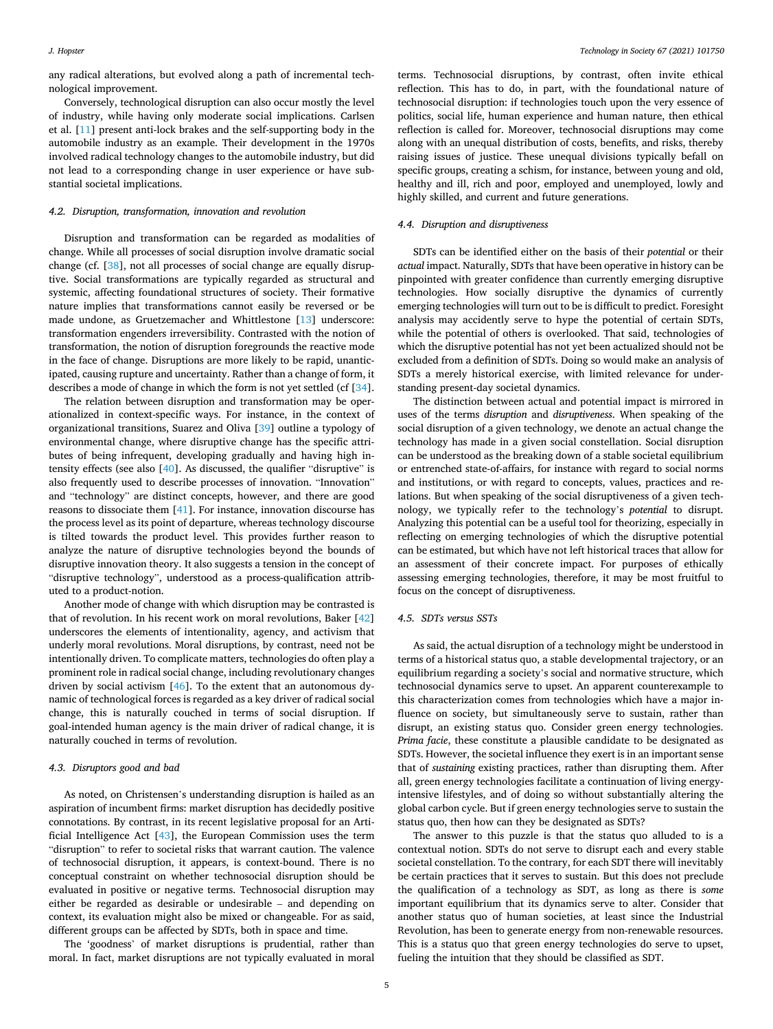any radical alterations, but evolved along a path of incremental technological improvement.

Conversely, technological disruption can also occur mostly the level of industry, while having only moderate social implications. Carlsen et al. [\[11](#page-7-0)] present anti-lock brakes and the self-supporting body in the automobile industry as an example. Their development in the 1970s involved radical technology changes to the automobile industry, but did not lead to a corresponding change in user experience or have substantial societal implications.

#### *4.2. Disruption, transformation, innovation and revolution*

Disruption and transformation can be regarded as modalities of change. While all processes of social disruption involve dramatic social change (cf. [[38\]](#page-7-0), not all processes of social change are equally disruptive. Social transformations are typically regarded as structural and systemic, affecting foundational structures of society. Their formative nature implies that transformations cannot easily be reversed or be made undone, as Gruetzemacher and Whittlestone [\[13](#page-7-0)] underscore: transformation engenders irreversibility. Contrasted with the notion of transformation, the notion of disruption foregrounds the reactive mode in the face of change. Disruptions are more likely to be rapid, unanticipated, causing rupture and uncertainty. Rather than a change of form, it describes a mode of change in which the form is not yet settled (cf [\[34](#page-7-0)].

The relation between disruption and transformation may be operationalized in context-specific ways. For instance, in the context of organizational transitions, Suarez and Oliva [\[39](#page-7-0)] outline a typology of environmental change, where disruptive change has the specific attributes of being infrequent, developing gradually and having high intensity effects (see also [[40\]](#page-7-0). As discussed, the qualifier "disruptive" is also frequently used to describe processes of innovation. "Innovation" and "technology" are distinct concepts, however, and there are good reasons to dissociate them [\[41](#page-7-0)]. For instance, innovation discourse has the process level as its point of departure, whereas technology discourse is tilted towards the product level. This provides further reason to analyze the nature of disruptive technologies beyond the bounds of disruptive innovation theory. It also suggests a tension in the concept of "disruptive technology", understood as a process-qualification attributed to a product-notion.

Another mode of change with which disruption may be contrasted is that of revolution. In his recent work on moral revolutions, Baker [\[42](#page-7-0)] underscores the elements of intentionality, agency, and activism that underly moral revolutions. Moral disruptions, by contrast, need not be intentionally driven. To complicate matters, technologies do often play a prominent role in radical social change, including revolutionary changes driven by social activism [[46\]](#page-7-0). To the extent that an autonomous dynamic of technological forces is regarded as a key driver of radical social change, this is naturally couched in terms of social disruption. If goal-intended human agency is the main driver of radical change, it is naturally couched in terms of revolution.

#### *4.3. Disruptors good and bad*

As noted, on Christensen's understanding disruption is hailed as an aspiration of incumbent firms: market disruption has decidedly positive connotations. By contrast, in its recent legislative proposal for an Artificial Intelligence Act [\[43](#page-7-0)], the European Commission uses the term "disruption" to refer to societal risks that warrant caution. The valence of technosocial disruption, it appears, is context-bound. There is no conceptual constraint on whether technosocial disruption should be evaluated in positive or negative terms. Technosocial disruption may either be regarded as desirable or undesirable – and depending on context, its evaluation might also be mixed or changeable. For as said, different groups can be affected by SDTs, both in space and time.

The 'goodness' of market disruptions is prudential, rather than moral. In fact, market disruptions are not typically evaluated in moral

terms. Technosocial disruptions, by contrast, often invite ethical reflection. This has to do, in part, with the foundational nature of technosocial disruption: if technologies touch upon the very essence of politics, social life, human experience and human nature, then ethical reflection is called for. Moreover, technosocial disruptions may come along with an unequal distribution of costs, benefits, and risks, thereby raising issues of justice. These unequal divisions typically befall on specific groups, creating a schism, for instance, between young and old, healthy and ill, rich and poor, employed and unemployed, lowly and highly skilled, and current and future generations.

#### *4.4. Disruption and disruptiveness*

SDTs can be identified either on the basis of their *potential* or their *actual* impact. Naturally, SDTs that have been operative in history can be pinpointed with greater confidence than currently emerging disruptive technologies. How socially disruptive the dynamics of currently emerging technologies will turn out to be is difficult to predict. Foresight analysis may accidently serve to hype the potential of certain SDTs, while the potential of others is overlooked. That said, technologies of which the disruptive potential has not yet been actualized should not be excluded from a definition of SDTs. Doing so would make an analysis of SDTs a merely historical exercise, with limited relevance for understanding present-day societal dynamics.

The distinction between actual and potential impact is mirrored in uses of the terms *disruption* and *disruptiveness*. When speaking of the social disruption of a given technology, we denote an actual change the technology has made in a given social constellation. Social disruption can be understood as the breaking down of a stable societal equilibrium or entrenched state-of-affairs, for instance with regard to social norms and institutions, or with regard to concepts, values, practices and relations. But when speaking of the social disruptiveness of a given technology, we typically refer to the technology's *potential* to disrupt. Analyzing this potential can be a useful tool for theorizing, especially in reflecting on emerging technologies of which the disruptive potential can be estimated, but which have not left historical traces that allow for an assessment of their concrete impact. For purposes of ethically assessing emerging technologies, therefore, it may be most fruitful to focus on the concept of disruptiveness.

## *4.5. SDTs versus SSTs*

As said, the actual disruption of a technology might be understood in terms of a historical status quo, a stable developmental trajectory, or an equilibrium regarding a society's social and normative structure, which technosocial dynamics serve to upset. An apparent counterexample to this characterization comes from technologies which have a major influence on society, but simultaneously serve to sustain, rather than disrupt, an existing status quo. Consider green energy technologies. *Prima facie*, these constitute a plausible candidate to be designated as SDTs. However, the societal influence they exert is in an important sense that of *sustaining* existing practices, rather than disrupting them. After all, green energy technologies facilitate a continuation of living energyintensive lifestyles, and of doing so without substantially altering the global carbon cycle. But if green energy technologies serve to sustain the status quo, then how can they be designated as SDTs?

The answer to this puzzle is that the status quo alluded to is a contextual notion. SDTs do not serve to disrupt each and every stable societal constellation. To the contrary, for each SDT there will inevitably be certain practices that it serves to sustain. But this does not preclude the qualification of a technology as SDT, as long as there is *some*  important equilibrium that its dynamics serve to alter. Consider that another status quo of human societies, at least since the Industrial Revolution, has been to generate energy from non-renewable resources. This is a status quo that green energy technologies do serve to upset, fueling the intuition that they should be classified as SDT.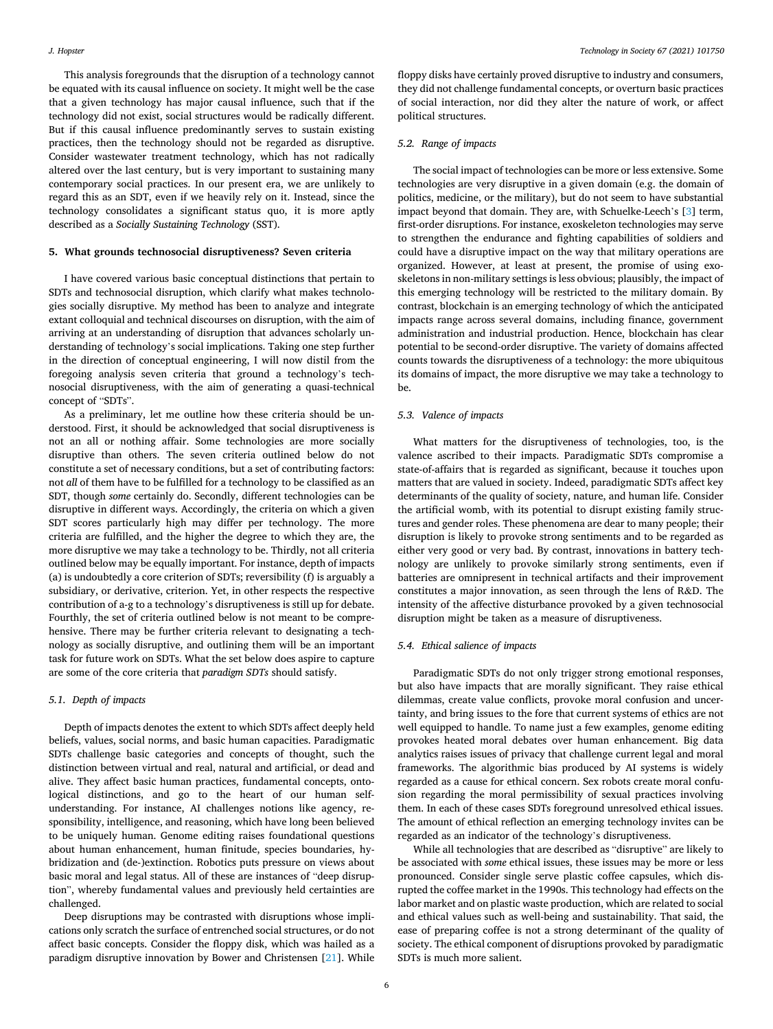#### <span id="page-5-0"></span>*J. Hopster*

This analysis foregrounds that the disruption of a technology cannot be equated with its causal influence on society. It might well be the case that a given technology has major causal influence, such that if the technology did not exist, social structures would be radically different. But if this causal influence predominantly serves to sustain existing practices, then the technology should not be regarded as disruptive. Consider wastewater treatment technology, which has not radically altered over the last century, but is very important to sustaining many contemporary social practices. In our present era, we are unlikely to regard this as an SDT, even if we heavily rely on it. Instead, since the technology consolidates a significant status quo, it is more aptly described as a *Socially Sustaining Technology* (SST).

#### **5. What grounds technosocial disruptiveness? Seven criteria**

I have covered various basic conceptual distinctions that pertain to SDTs and technosocial disruption, which clarify what makes technologies socially disruptive. My method has been to analyze and integrate extant colloquial and technical discourses on disruption, with the aim of arriving at an understanding of disruption that advances scholarly understanding of technology's social implications. Taking one step further in the direction of conceptual engineering, I will now distil from the foregoing analysis seven criteria that ground a technology's technosocial disruptiveness, with the aim of generating a quasi-technical concept of "SDTs".

As a preliminary, let me outline how these criteria should be understood. First, it should be acknowledged that social disruptiveness is not an all or nothing affair. Some technologies are more socially disruptive than others. The seven criteria outlined below do not constitute a set of necessary conditions, but a set of contributing factors: not *all* of them have to be fulfilled for a technology to be classified as an SDT, though *some* certainly do. Secondly, different technologies can be disruptive in different ways. Accordingly, the criteria on which a given SDT scores particularly high may differ per technology. The more criteria are fulfilled, and the higher the degree to which they are, the more disruptive we may take a technology to be. Thirdly, not all criteria outlined below may be equally important. For instance, depth of impacts (a) is undoubtedly a core criterion of SDTs; reversibility (f) is arguably a subsidiary, or derivative, criterion. Yet, in other respects the respective contribution of a-g to a technology's disruptiveness is still up for debate. Fourthly, the set of criteria outlined below is not meant to be comprehensive. There may be further criteria relevant to designating a technology as socially disruptive, and outlining them will be an important task for future work on SDTs. What the set below does aspire to capture are some of the core criteria that *paradigm SDTs* should satisfy.

#### *5.1. Depth of impacts*

Depth of impacts denotes the extent to which SDTs affect deeply held beliefs, values, social norms, and basic human capacities. Paradigmatic SDTs challenge basic categories and concepts of thought, such the distinction between virtual and real, natural and artificial, or dead and alive. They affect basic human practices, fundamental concepts, ontological distinctions, and go to the heart of our human selfunderstanding. For instance, AI challenges notions like agency, responsibility, intelligence, and reasoning, which have long been believed to be uniquely human. Genome editing raises foundational questions about human enhancement, human finitude, species boundaries, hybridization and (de-)extinction. Robotics puts pressure on views about basic moral and legal status. All of these are instances of "deep disruption", whereby fundamental values and previously held certainties are challenged.

Deep disruptions may be contrasted with disruptions whose implications only scratch the surface of entrenched social structures, or do not affect basic concepts. Consider the floppy disk, which was hailed as a paradigm disruptive innovation by Bower and Christensen [[21\]](#page-7-0). While

floppy disks have certainly proved disruptive to industry and consumers, they did not challenge fundamental concepts, or overturn basic practices of social interaction, nor did they alter the nature of work, or affect political structures.

## *5.2. Range of impacts*

The social impact of technologies can be more or less extensive. Some technologies are very disruptive in a given domain (e.g. the domain of politics, medicine, or the military), but do not seem to have substantial impact beyond that domain. They are, with Schuelke-Leech's [[3](#page-6-0)] term, first-order disruptions. For instance, exoskeleton technologies may serve to strengthen the endurance and fighting capabilities of soldiers and could have a disruptive impact on the way that military operations are organized. However, at least at present, the promise of using exoskeletons in non-military settings is less obvious; plausibly, the impact of this emerging technology will be restricted to the military domain. By contrast, blockchain is an emerging technology of which the anticipated impacts range across several domains, including finance, government administration and industrial production. Hence, blockchain has clear potential to be second-order disruptive. The variety of domains affected counts towards the disruptiveness of a technology: the more ubiquitous its domains of impact, the more disruptive we may take a technology to be.

#### *5.3. Valence of impacts*

What matters for the disruptiveness of technologies, too, is the valence ascribed to their impacts. Paradigmatic SDTs compromise a state-of-affairs that is regarded as significant, because it touches upon matters that are valued in society. Indeed, paradigmatic SDTs affect key determinants of the quality of society, nature, and human life. Consider the artificial womb, with its potential to disrupt existing family structures and gender roles. These phenomena are dear to many people; their disruption is likely to provoke strong sentiments and to be regarded as either very good or very bad. By contrast, innovations in battery technology are unlikely to provoke similarly strong sentiments, even if batteries are omnipresent in technical artifacts and their improvement constitutes a major innovation, as seen through the lens of R&D. The intensity of the affective disturbance provoked by a given technosocial disruption might be taken as a measure of disruptiveness.

#### *5.4. Ethical salience of impacts*

Paradigmatic SDTs do not only trigger strong emotional responses, but also have impacts that are morally significant. They raise ethical dilemmas, create value conflicts, provoke moral confusion and uncertainty, and bring issues to the fore that current systems of ethics are not well equipped to handle. To name just a few examples, genome editing provokes heated moral debates over human enhancement. Big data analytics raises issues of privacy that challenge current legal and moral frameworks. The algorithmic bias produced by AI systems is widely regarded as a cause for ethical concern. Sex robots create moral confusion regarding the moral permissibility of sexual practices involving them. In each of these cases SDTs foreground unresolved ethical issues. The amount of ethical reflection an emerging technology invites can be regarded as an indicator of the technology's disruptiveness.

While all technologies that are described as "disruptive" are likely to be associated with *some* ethical issues, these issues may be more or less pronounced. Consider single serve plastic coffee capsules, which disrupted the coffee market in the 1990s. This technology had effects on the labor market and on plastic waste production, which are related to social and ethical values such as well-being and sustainability. That said, the ease of preparing coffee is not a strong determinant of the quality of society. The ethical component of disruptions provoked by paradigmatic SDTs is much more salient.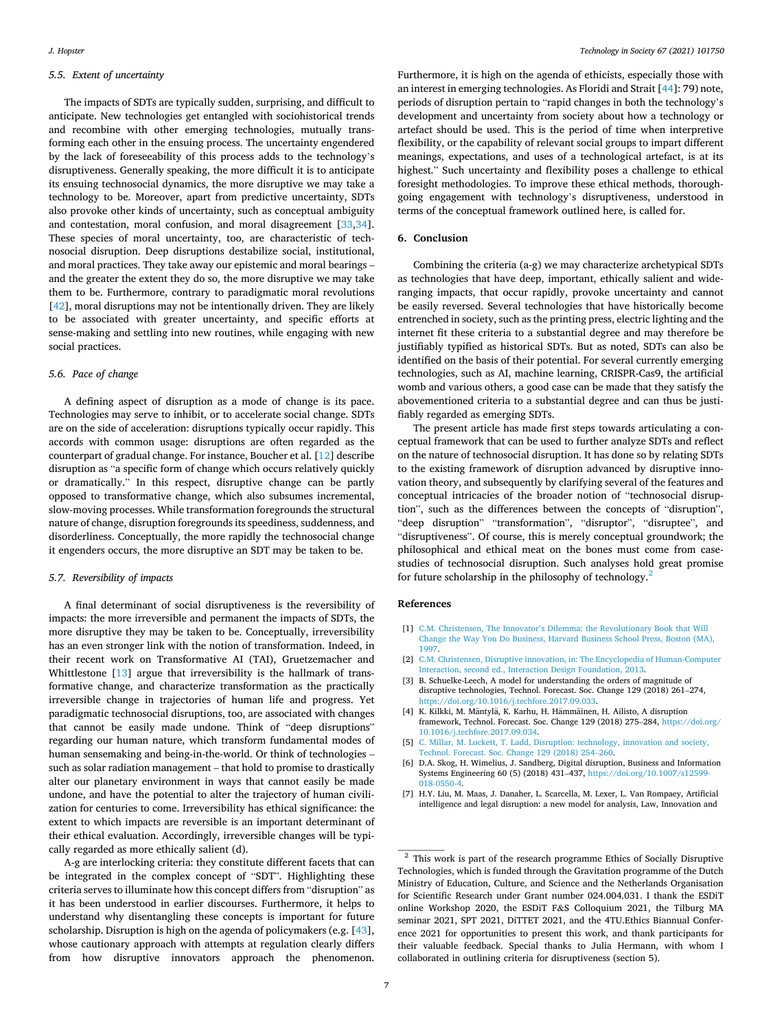#### <span id="page-6-0"></span>*5.5. Extent of uncertainty*

The impacts of SDTs are typically sudden, surprising, and difficult to anticipate. New technologies get entangled with sociohistorical trends and recombine with other emerging technologies, mutually transforming each other in the ensuing process. The uncertainty engendered by the lack of foreseeability of this process adds to the technology's disruptiveness. Generally speaking, the more difficult it is to anticipate its ensuing technosocial dynamics, the more disruptive we may take a technology to be. Moreover, apart from predictive uncertainty, SDTs also provoke other kinds of uncertainty, such as conceptual ambiguity and contestation, moral confusion, and moral disagreement [[33,34](#page-7-0)]. These species of moral uncertainty, too, are characteristic of technosocial disruption. Deep disruptions destabilize social, institutional, and moral practices. They take away our epistemic and moral bearings – and the greater the extent they do so, the more disruptive we may take them to be. Furthermore, contrary to paradigmatic moral revolutions [[42\]](#page-7-0), moral disruptions may not be intentionally driven. They are likely to be associated with greater uncertainty, and specific efforts at sense-making and settling into new routines, while engaging with new social practices.

#### *5.6. Pace of change*

A defining aspect of disruption as a mode of change is its pace. Technologies may serve to inhibit, or to accelerate social change. SDTs are on the side of acceleration: disruptions typically occur rapidly. This accords with common usage: disruptions are often regarded as the counterpart of gradual change. For instance, Boucher et al. [\[12](#page-7-0)] describe disruption as "a specific form of change which occurs relatively quickly or dramatically." In this respect, disruptive change can be partly opposed to transformative change, which also subsumes incremental, slow-moving processes. While transformation foregrounds the structural nature of change, disruption foregrounds its speediness, suddenness, and disorderliness. Conceptually, the more rapidly the technosocial change it engenders occurs, the more disruptive an SDT may be taken to be.

## *5.7. Reversibility of impacts*

A final determinant of social disruptiveness is the reversibility of impacts: the more irreversible and permanent the impacts of SDTs, the more disruptive they may be taken to be. Conceptually, irreversibility has an even stronger link with the notion of transformation. Indeed, in their recent work on Transformative AI (TAI), Gruetzemacher and Whittlestone [\[13](#page-7-0)] argue that irreversibility is the hallmark of transformative change, and characterize transformation as the practically irreversible change in trajectories of human life and progress. Yet paradigmatic technosocial disruptions, too, are associated with changes that cannot be easily made undone. Think of "deep disruptions" regarding our human nature, which transform fundamental modes of human sensemaking and being-in-the-world. Or think of technologies – such as solar radiation management – that hold to promise to drastically alter our planetary environment in ways that cannot easily be made undone, and have the potential to alter the trajectory of human civilization for centuries to come. Irreversibility has ethical significance: the extent to which impacts are reversible is an important determinant of their ethical evaluation. Accordingly, irreversible changes will be typically regarded as more ethically salient (d).

A-g are interlocking criteria: they constitute different facets that can be integrated in the complex concept of "SDT". Highlighting these criteria serves to illuminate how this concept differs from "disruption" as it has been understood in earlier discourses. Furthermore, it helps to understand why disentangling these concepts is important for future scholarship. Disruption is high on the agenda of policymakers (e.g. [\[43](#page-7-0)], whose cautionary approach with attempts at regulation clearly differs from how disruptive innovators approach the phenomenon.

Furthermore, it is high on the agenda of ethicists, especially those with an interest in emerging technologies. As Floridi and Strait [\[44](#page-7-0)]: 79) note, periods of disruption pertain to "rapid changes in both the technology's development and uncertainty from society about how a technology or artefact should be used. This is the period of time when interpretive flexibility, or the capability of relevant social groups to impart different meanings, expectations, and uses of a technological artefact, is at its highest." Such uncertainty and flexibility poses a challenge to ethical foresight methodologies. To improve these ethical methods, thoroughgoing engagement with technology's disruptiveness, understood in terms of the conceptual framework outlined here, is called for.

#### **6. Conclusion**

Combining the criteria (a-g) we may characterize archetypical SDTs as technologies that have deep, important, ethically salient and wideranging impacts, that occur rapidly, provoke uncertainty and cannot be easily reversed. Several technologies that have historically become entrenched in society, such as the printing press, electric lighting and the internet fit these criteria to a substantial degree and may therefore be justifiably typified as historical SDTs. But as noted, SDTs can also be identified on the basis of their potential. For several currently emerging technologies, such as AI, machine learning, CRISPR-Cas9, the artificial womb and various others, a good case can be made that they satisfy the abovementioned criteria to a substantial degree and can thus be justifiably regarded as emerging SDTs.

The present article has made first steps towards articulating a conceptual framework that can be used to further analyze SDTs and reflect on the nature of technosocial disruption. It has done so by relating SDTs to the existing framework of disruption advanced by disruptive innovation theory, and subsequently by clarifying several of the features and conceptual intricacies of the broader notion of "technosocial disruption", such as the differences between the concepts of "disruption", "deep disruption" "transformation", "disruptor", "disruptee", and "disruptiveness". Of course, this is merely conceptual groundwork; the philosophical and ethical meat on the bones must come from casestudies of technosocial disruption. Such analyses hold great promise for future scholarship in the philosophy of technology.<sup>2</sup>

#### **References**

- [1] C.M. Christensen, The Innovator's Dilemma: the Revolutionary Book that Will [Change the Way You Do Business, Harvard Business School Press, Boston \(MA\),](http://refhub.elsevier.com/S0160-791X(21)00225-6/sref1)  [1997](http://refhub.elsevier.com/S0160-791X(21)00225-6/sref1).
- [2] [C.M. Christensen, Disruptive innovation, in: The Encyclopedia of Human-Computer](http://refhub.elsevier.com/S0160-791X(21)00225-6/sref2)  [Interaction, second ed., Interaction Design Foundation, 2013](http://refhub.elsevier.com/S0160-791X(21)00225-6/sref2).
- [3] B. Schuelke-Leech, A model for understanding the orders of magnitude of disruptive technologies, Technol. Forecast. Soc. Change 129 (2018) 261–274, <https://doi.org/10.1016/j.techfore.2017.09.033>.
- [4] K. Kilkki, M. Mäntylä, K. Karhu, H. Hämmäinen, H. Ailisto, A disruption framework, Technol. Forecast. Soc. Change 129 (2018) 275–284, [https://doi.org/](https://doi.org/10.1016/j.techfore.2017.09.034)  [10.1016/j.techfore.2017.09.034.](https://doi.org/10.1016/j.techfore.2017.09.034)
- [5] [C. Millar, M. Lockett, T. Ladd, Disruption: technology, innovation and society,](http://refhub.elsevier.com/S0160-791X(21)00225-6/sref5)  [Technol. Forecast. Soc. Change 129 \(2018\) 254](http://refhub.elsevier.com/S0160-791X(21)00225-6/sref5)–260.
- [6] D.A. Skog, H. Wimelius, J. Sandberg, Digital disruption, Business and Information Systems Engineering 60 (5) (2018) 431–437, [https://doi.org/10.1007/s12599-](https://doi.org/10.1007/s12599-018-0550-4)  018-0550-4
- [7] H.Y. Liu, M. Maas, J. Danaher, L. Scarcella, M. Lexer, L. Van Rompaey, Artificial intelligence and legal disruption: a new model for analysis, Law, Innovation and

<sup>2</sup> This work is part of the research programme Ethics of Socially Disruptive Technologies, which is funded through the Gravitation programme of the Dutch Ministry of Education, Culture, and Science and the Netherlands Organisation for Scientific Research under Grant number 024.004.031. I thank the ESDiT online Workshop 2020, the ESDiT F&S Colloquium 2021, the Tilburg MA seminar 2021, SPT 2021, DiTTET 2021, and the 4TU.Ethics Biannual Conference 2021 for opportunities to present this work, and thank participants for their valuable feedback. Special thanks to Julia Hermann, with whom I collaborated in outlining criteria for disruptiveness (section 5).